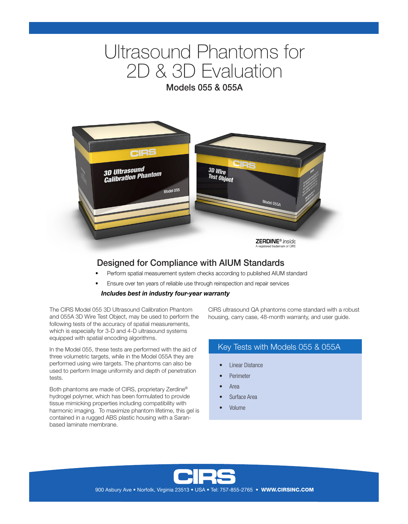# Ultrasound Phantoms for 2D & 3D Evaluation

Models 055 & 055A



# Designed for Compliance with AIUM Standards

- Perform spatial measurement system checks according to published AIUM standard
- Ensure over ten years of reliable use through reinspection and repair services

#### *Includes best in industry four-year warranty*

The CIRS Model 055 3D Ultrasound Calibration Phantom and 055A 3D Wire Test Object, may be used to perform the following tests of the accuracy of spatial measurements, which is especially for 3-D and 4-D ultrasound systems equipped with spatial encoding algorithms.

In the Model 055, these tests are performed with the aid of three volumetric targets, while in the Model 055A they are performed using wire targets. The phantoms can also be used to perform Image uniformity and depth of penetration tests.

Both phantoms are made of CIRS, proprietary Zerdine® hydrogel polymer, which has been formulated to provide tissue mimicking properties including compatibility with harmonic imaging. To maximize phantom lifetime, this gel is contained in a rugged ABS plastic housing with a Saranbased laminate membrane.

CIRS ultrasound QA phantoms come standard with a robust housing, carry case, 48-month warranty, and user guide.

## Key Tests with Models 055 & 055A

- Linear Distance
- **Perimeter**
- Area
- Surface Area
- Volume